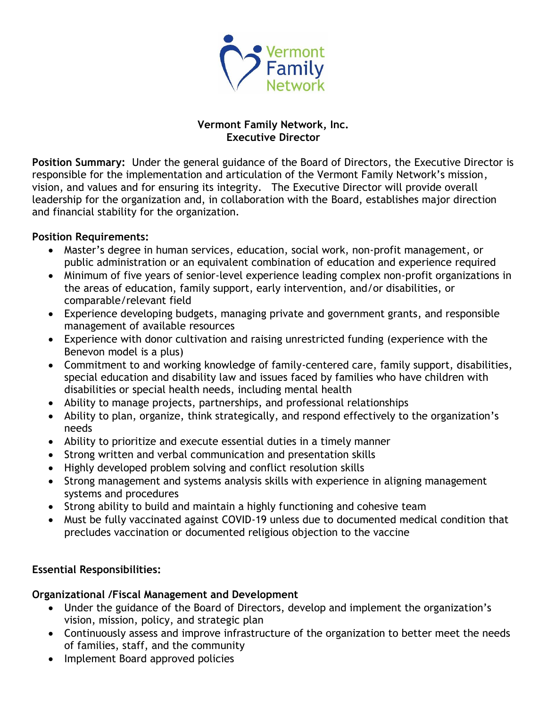

## **Vermont Family Network, Inc. Executive Director**

**Position Summary:** Under the general guidance of the Board of Directors, the Executive Director is responsible for the implementation and articulation of the Vermont Family Network's mission, vision, and values and for ensuring its integrity. The Executive Director will provide overall leadership for the organization and, in collaboration with the Board, establishes major direction and financial stability for the organization.

#### **Position Requirements:**

- Master's degree in human services, education, social work, non-profit management, or public administration or an equivalent combination of education and experience required
- Minimum of five years of senior-level experience leading complex non-profit organizations in the areas of education, family support, early intervention, and/or disabilities, or comparable/relevant field
- Experience developing budgets, managing private and government grants, and responsible management of available resources
- Experience with donor cultivation and raising unrestricted funding (experience with the Benevon model is a plus)
- Commitment to and working knowledge of family-centered care, family support, disabilities, special education and disability law and issues faced by families who have children with disabilities or special health needs, including mental health
- Ability to manage projects, partnerships, and professional relationships
- Ability to plan, organize, think strategically, and respond effectively to the organization's needs
- Ability to prioritize and execute essential duties in a timely manner
- Strong written and verbal communication and presentation skills
- Highly developed problem solving and conflict resolution skills
- Strong management and systems analysis skills with experience in aligning management systems and procedures
- Strong ability to build and maintain a highly functioning and cohesive team
- Must be fully vaccinated against COVID-19 unless due to documented medical condition that precludes vaccination or documented religious objection to the vaccine

# **Essential Responsibilities:**

## **Organizational /Fiscal Management and Development**

- Under the guidance of the Board of Directors, develop and implement the organization's vision, mission, policy, and strategic plan
- Continuously assess and improve infrastructure of the organization to better meet the needs of families, staff, and the community
- Implement Board approved policies